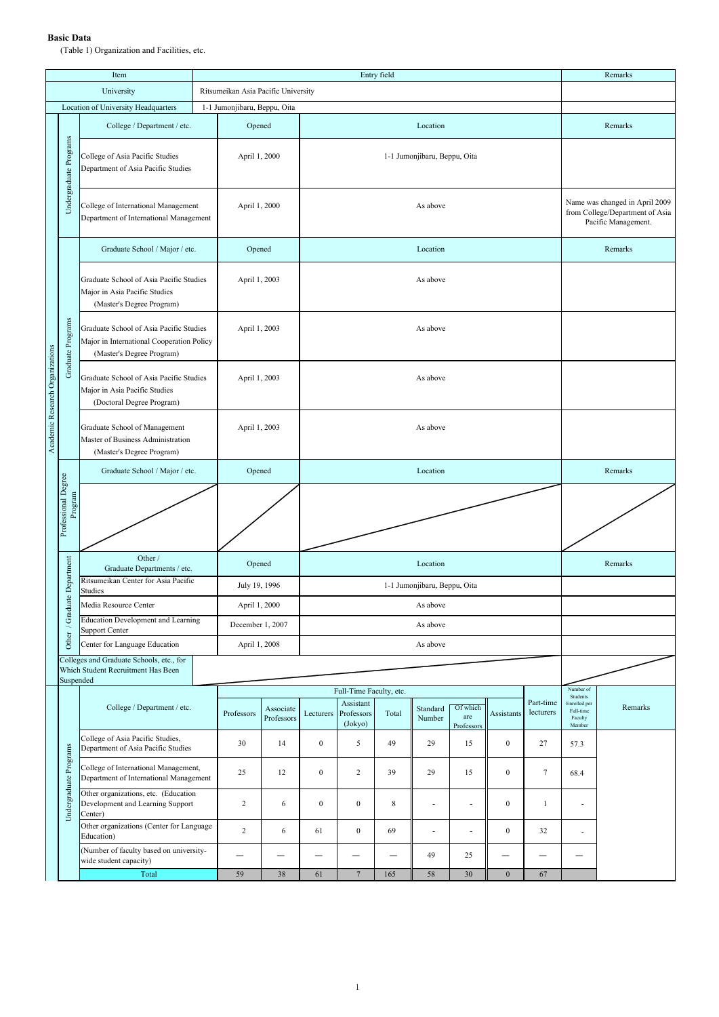## **Basic Data**

(Table 1) Organization and Facilities, etc.

|                                 |                                | Item                                                                                                              |                              | Entry field                         |                           |                              |                                    |                                                                                          |                    |                               |                          |                        | Remarks                                                    |         |  |  |
|---------------------------------|--------------------------------|-------------------------------------------------------------------------------------------------------------------|------------------------------|-------------------------------------|---------------------------|------------------------------|------------------------------------|------------------------------------------------------------------------------------------|--------------------|-------------------------------|--------------------------|------------------------|------------------------------------------------------------|---------|--|--|
|                                 |                                | University                                                                                                        |                              | Ritsumeikan Asia Pacific University |                           |                              |                                    |                                                                                          |                    |                               |                          |                        |                                                            |         |  |  |
|                                 |                                | Location of University Headquarters                                                                               | 1-1 Jumonjibaru, Beppu, Oita |                                     |                           |                              |                                    |                                                                                          |                    |                               |                          |                        |                                                            |         |  |  |
|                                 |                                | College / Department / etc.                                                                                       |                              |                                     | Opened<br>Location        |                              |                                    |                                                                                          |                    |                               |                          |                        | Remarks                                                    |         |  |  |
|                                 | Undergraduate Programs         | College of Asia Pacific Studies<br>Department of Asia Pacific Studies                                             |                              | April 1, 2000                       |                           | 1-1 Jumonjibaru, Beppu, Oita |                                    |                                                                                          |                    |                               |                          |                        |                                                            |         |  |  |
|                                 |                                | College of International Management<br>Department of International Management                                     |                              | April 1, 2000                       |                           |                              |                                    | Name was changed in April 2009<br>from College/Department of Asia<br>Pacific Management. |                    |                               |                          |                        |                                                            |         |  |  |
|                                 |                                | Graduate School / Major / etc.                                                                                    |                              | Opened                              |                           |                              |                                    |                                                                                          | Remarks            |                               |                          |                        |                                                            |         |  |  |
|                                 | Graduate Programs              | Graduate School of Asia Pacific Studies<br>Major in Asia Pacific Studies<br>(Master's Degree Program)             |                              | April 1, 2003                       |                           |                              |                                    |                                                                                          |                    |                               |                          |                        |                                                            |         |  |  |
|                                 |                                | Graduate School of Asia Pacific Studies<br>Major in International Cooperation Policy<br>(Master's Degree Program) |                              | April 1, 2003                       |                           | As above                     |                                    |                                                                                          |                    |                               |                          |                        |                                                            |         |  |  |
| Academic Research Organizations |                                | Graduate School of Asia Pacific Studies<br>Major in Asia Pacific Studies<br>(Doctoral Degree Program)             |                              | April 1, 2003                       |                           | As above                     |                                    |                                                                                          |                    |                               |                          |                        |                                                            |         |  |  |
|                                 |                                | Graduate School of Management<br>Master of Business Administration<br>(Master's Degree Program)                   |                              | April 1, 2003                       |                           | As above                     |                                    |                                                                                          |                    |                               |                          |                        |                                                            |         |  |  |
|                                 |                                | Graduate School / Major / etc.                                                                                    |                              | Opened                              |                           | Location                     |                                    |                                                                                          |                    |                               |                          |                        |                                                            | Remarks |  |  |
|                                 | Professional Degree<br>Program |                                                                                                                   |                              |                                     |                           |                              |                                    |                                                                                          |                    |                               |                          |                        |                                                            |         |  |  |
|                                 |                                | Other /<br>Graduate Departments / etc.                                                                            |                              | Opened                              |                           |                              |                                    |                                                                                          | Remarks            |                               |                          |                        |                                                            |         |  |  |
|                                 | / Graduate Department          | Ritsumeikan Center for Asia Pacific<br>Studies                                                                    |                              | July 19, 1996                       |                           |                              |                                    |                                                                                          |                    |                               |                          |                        |                                                            |         |  |  |
|                                 |                                | Media Resource Center                                                                                             |                              | April 1, 2000                       |                           |                              |                                    |                                                                                          |                    |                               |                          |                        |                                                            |         |  |  |
|                                 |                                | <b>Education Development and Learning</b><br>Support Center                                                       |                              | December 1, 2007                    |                           |                              |                                    |                                                                                          |                    |                               |                          |                        |                                                            |         |  |  |
|                                 | Other                          | Center for Language Education                                                                                     |                              |                                     | April 1, 2008<br>As above |                              |                                    |                                                                                          |                    |                               |                          |                        |                                                            |         |  |  |
|                                 | Suspended                      | Colleges and Graduate Schools, etc., for<br>Which Student Recruitment Has Been                                    |                              |                                     |                           |                              |                                    |                                                                                          |                    |                               |                          |                        |                                                            |         |  |  |
|                                 |                                |                                                                                                                   |                              |                                     |                           | Full-Time Faculty, etc.      |                                    |                                                                                          |                    |                               |                          |                        |                                                            |         |  |  |
|                                 |                                | College / Department / etc.                                                                                       |                              | Professors                          | Associate<br>Professors   | Lecturers                    | Assistant<br>Professors<br>(Jokyo) | Total                                                                                    | Standard<br>Number | Of which<br>are<br>Professors | Assistants               | Part-time<br>lecturers | Students<br>Enrolled per<br>Full-time<br>Faculty<br>Member | Remarks |  |  |
|                                 |                                | College of Asia Pacific Studies,<br>Department of Asia Pacific Studies                                            |                              | 30                                  | 14                        | $\boldsymbol{0}$             | 5                                  | 49                                                                                       | 29                 | 15                            | $\mathbf{0}$             | 27                     | 57.3                                                       |         |  |  |
|                                 | Undergraduate Programs         | College of International Management,<br>Department of International Management                                    |                              | 25                                  | 12                        | $\boldsymbol{0}$             | $\overline{c}$                     | 39                                                                                       | 29                 | 15                            | $\mathbf{0}$             | $\tau$                 | 68.4                                                       |         |  |  |
|                                 |                                | Other organizations, etc. (Education<br>Development and Learning Support<br>Center)                               |                              | $\overline{c}$                      | 6                         | $\boldsymbol{0}$             | $\boldsymbol{0}$                   | $\,$ 8 $\,$                                                                              | ä,                 | ÷,                            | $\mathbf{0}$             | $\mathbf{1}$           | ×,                                                         |         |  |  |
|                                 |                                | Other organizations (Center for Language<br>Education)                                                            |                              | $\overline{c}$                      | 6                         | 61                           | $\boldsymbol{0}$                   | 69                                                                                       | ÷                  | ٠                             | $\mathbf{0}$             | 32                     |                                                            |         |  |  |
|                                 |                                | (Number of faculty based on university-<br>wide student capacity)                                                 |                              |                                     |                           | $\overline{\phantom{0}}$     | $\overline{\phantom{0}}$           |                                                                                          | 49                 | 25                            | $\overline{\phantom{0}}$ |                        |                                                            |         |  |  |
|                                 |                                | Total                                                                                                             |                              | 59                                  | 38                        | 61                           | $\overline{7}$                     | 165                                                                                      | 58                 | 30                            | $\mathbf{0}$             | 67                     |                                                            |         |  |  |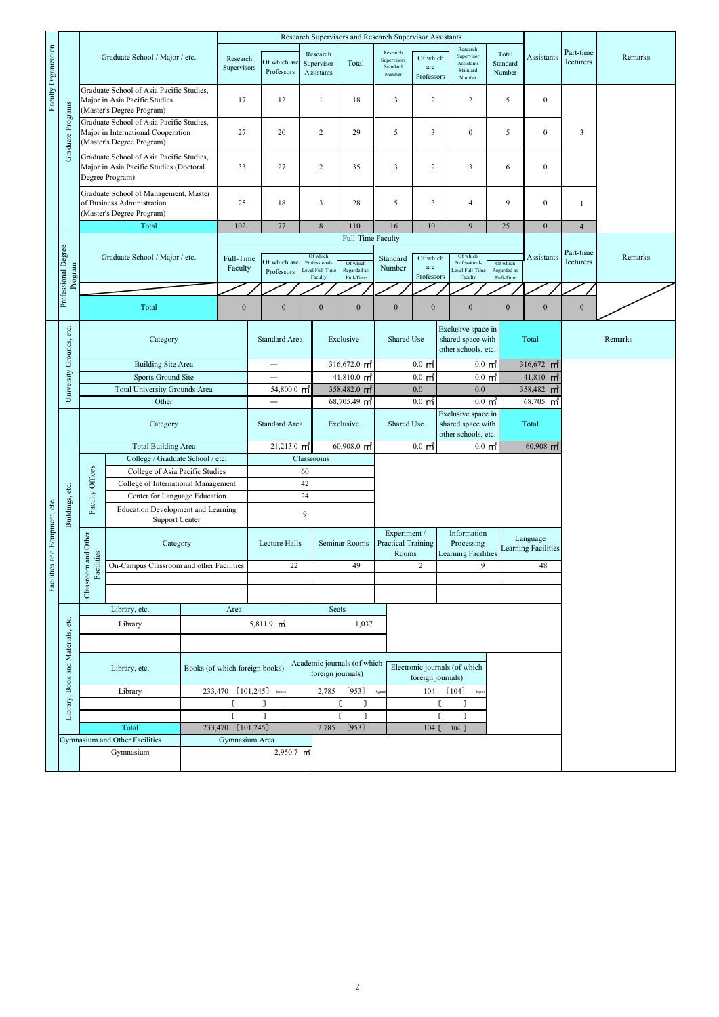|                                     |                                   |                                                                                                  |                                                                                                             | Research Supervisors and Research Supervisor Assistants |                                |                        |                                      |                                                  |                                                                                              |                                                    |                                                                |                                                                |                         |                                        |                        |         |
|-------------------------------------|-----------------------------------|--------------------------------------------------------------------------------------------------|-------------------------------------------------------------------------------------------------------------|---------------------------------------------------------|--------------------------------|------------------------|--------------------------------------|--------------------------------------------------|----------------------------------------------------------------------------------------------|----------------------------------------------------|----------------------------------------------------------------|----------------------------------------------------------------|-------------------------|----------------------------------------|------------------------|---------|
| Faculty Organization                | Graduate Programs                 | Graduate School / Major / etc.                                                                   |                                                                                                             | Research<br>Supervisors                                 | Of which are<br>Professors     |                        | Research<br>Supervisor<br>Assistants | Total                                            | Research<br>Supervisors<br>Standard<br>Number                                                | Of which<br>are<br>Professors                      | Research<br>Supervisor<br>Assistants<br>Standard<br>Number     | Total<br>Standard<br>Number                                    | Assistants              | Part-time<br>lecturers                 | Remarks                |         |
|                                     |                                   |                                                                                                  | Graduate School of Asia Pacific Studies,<br>Major in Asia Pacific Studies<br>(Master's Degree Program)      |                                                         | 17                             |                        | 12                                   | 1                                                | 18                                                                                           | $\overline{\mathbf{3}}$                            | 2                                                              | 2                                                              | 5                       | $\boldsymbol{0}$                       |                        |         |
|                                     |                                   |                                                                                                  | Graduate School of Asia Pacific Studies,<br>Major in International Cooperation<br>(Master's Degree Program) | 27                                                      |                                |                        | 20                                   | $\sqrt{2}$                                       | 29                                                                                           | 5                                                  | $\overline{\mathbf{3}}$                                        | $\boldsymbol{0}$                                               | 5                       | $\bf{0}$                               | 3                      |         |
|                                     |                                   |                                                                                                  | Graduate School of Asia Pacific Studies,<br>Major in Asia Pacific Studies (Doctoral<br>Degree Program)      |                                                         | 33                             |                        | 27                                   | $\overline{c}$                                   | 35                                                                                           | 3                                                  | $\overline{c}$                                                 | 3                                                              | 6                       | $\boldsymbol{0}$                       |                        |         |
|                                     |                                   | Graduate School of Management, Master<br>of Business Administration<br>(Master's Degree Program) |                                                                                                             | 25                                                      |                                | 18                     | $\overline{\mathbf{3}}$              | 28                                               | 5<br>16                                                                                      | 3                                                  | 4                                                              | 9                                                              | $\boldsymbol{0}$        | $\mathbf{1}$                           |                        |         |
|                                     |                                   | Total                                                                                            |                                                                                                             |                                                         | 102                            |                        | 77                                   |                                                  | 8<br>110                                                                                     |                                                    | 10                                                             | 25<br>9                                                        |                         | $\mathbf{0}$                           | $\overline{4}$         |         |
|                                     | Professional Degree               | Graduate School / Major / etc.                                                                   |                                                                                                             |                                                         | Full-Time<br>Faculty           |                        | Of which are                         |                                                  | Full-Time Faculty<br>Of which<br>Professional-<br>Of which<br>Level Full-Time<br>Regarded as |                                                    | Of which<br>are                                                | Of which<br>Professional-<br>Level Full-Tim                    | Of which<br>Regarded as | <b>Assistants</b>                      | Part-time<br>lecturers | Remarks |
|                                     | Program                           |                                                                                                  |                                                                                                             |                                                         |                                |                        | Professors                           |                                                  | Full-Time<br>Faculty                                                                         |                                                    | Professors                                                     | Faculty                                                        | Full-Time               |                                        |                        |         |
|                                     |                                   |                                                                                                  |                                                                                                             |                                                         |                                |                        |                                      |                                                  |                                                                                              |                                                    |                                                                |                                                                |                         |                                        |                        |         |
|                                     |                                   |                                                                                                  | Total                                                                                                       |                                                         | $\boldsymbol{0}$               |                        | $\boldsymbol{0}$                     | $\boldsymbol{0}$                                 | $\boldsymbol{0}$                                                                             | $\boldsymbol{0}$                                   | $\boldsymbol{0}$                                               | $\boldsymbol{0}$                                               | $\boldsymbol{0}$        | $\mathbf{0}$                           | $\boldsymbol{0}$       |         |
|                                     | University Grounds, etc.          | Category                                                                                         |                                                                                                             |                                                         |                                | Standard Area          |                                      | Exclusive                                        |                                                                                              | Shared Use                                         |                                                                | Exclusive space in<br>shared space with<br>other schools, etc. | Total                   |                                        |                        | Remarks |
|                                     |                                   |                                                                                                  | <b>Building Site Area</b>                                                                                   |                                                         |                                |                        | $\overline{\phantom{0}}$             |                                                  | 316,672.0 $m^2$                                                                              |                                                    | $0.0 \text{ m}^2$<br>$0.0 \text{ m}^2$                         |                                                                |                         | $316,672$ m <sup>2</sup>               |                        |         |
|                                     |                                   | Sports Ground Site                                                                               |                                                                                                             |                                                         |                                |                        |                                      |                                                  | $41,810.0$ m <sup>2</sup>                                                                    |                                                    | $0.0 \text{ m}^2$<br>$0.0 \text{ m}^2$                         |                                                                |                         | $41,810$ m <sup>2</sup>                |                        |         |
|                                     |                                   | <b>Total University Grounds Area</b>                                                             |                                                                                                             |                                                         |                                | 54,800.0 m             |                                      |                                                  | 358,482.0 m <sup>2</sup>                                                                     |                                                    | $0.0\,$<br>0.0                                                 |                                                                |                         | 358,482 m <sup>2</sup>                 |                        |         |
|                                     |                                   | Other                                                                                            |                                                                                                             |                                                         |                                |                        |                                      |                                                  | $68,705.49$ m <sup>2</sup>                                                                   |                                                    | $0.0 \text{ m}^2$                                              | $0.0 \text{ m}^2$<br>Exclusive space in                        |                         | $68,705$ m <sup>2</sup>                |                        |         |
|                                     |                                   | Category                                                                                         |                                                                                                             |                                                         |                                | Standard Area          |                                      |                                                  | Exclusive                                                                                    |                                                    | Shared Use<br>shared space with<br>other schools, etc.         |                                                                |                         | Total                                  |                        |         |
|                                     |                                   |                                                                                                  | <b>Total Building Area</b>                                                                                  |                                                         |                                |                        | $21,213.0 \text{ m}^2$               |                                                  | $60,908.0$ m <sup>2</sup>                                                                    |                                                    | $0.0 \text{ m}^2$<br>$0.0\,$ m <sup><math>\degree</math></sup> |                                                                |                         | $60,908$ m <sup>2</sup>                |                        |         |
|                                     |                                   |                                                                                                  | College / Graduate School / etc.<br>College of Asia Pacific Studies                                         |                                                         |                                |                        | 60                                   | Classrooms                                       |                                                                                              |                                                    |                                                                |                                                                |                         |                                        |                        |         |
|                                     |                                   |                                                                                                  | College of International Management                                                                         |                                                         |                                |                        | 42                                   |                                                  |                                                                                              |                                                    |                                                                |                                                                |                         |                                        |                        |         |
|                                     |                                   |                                                                                                  | Faculty Offices<br>Center for Language Education                                                            |                                                         |                                | 24                     |                                      |                                                  |                                                                                              |                                                    |                                                                |                                                                |                         |                                        |                        |         |
|                                     | Buildings, etc.                   |                                                                                                  | <b>Education Development and Learning</b><br>Support Center                                                 |                                                         |                                | 9                      |                                      |                                                  |                                                                                              |                                                    |                                                                |                                                                |                         |                                        |                        |         |
| ies and Equipment, etc.<br>Faciliti |                                   | Classroom and Other                                                                              |                                                                                                             | Category                                                |                                |                        | Lecture Halls                        |                                                  | Seminar Rooms                                                                                | Experiment /<br><b>Practical Training</b><br>Rooms |                                                                | Information<br>Processing<br><b>Learning Facilities</b>        |                         | Language<br><b>Learning Facilities</b> |                        |         |
|                                     |                                   | Facilities<br>On-Campus Classroom and other Facilities                                           |                                                                                                             |                                                         |                                |                        | 22                                   | 49                                               |                                                                                              |                                                    | $\sqrt{2}$<br>9                                                |                                                                |                         | 48                                     |                        |         |
|                                     |                                   |                                                                                                  |                                                                                                             |                                                         |                                |                        |                                      |                                                  |                                                                                              |                                                    |                                                                |                                                                |                         |                                        |                        |         |
|                                     |                                   |                                                                                                  | Library, etc.<br>Area                                                                                       |                                                         |                                |                        |                                      |                                                  | <b>Seats</b>                                                                                 |                                                    |                                                                |                                                                |                         |                                        |                        |         |
|                                     | Library, Book and Materials, etc. |                                                                                                  | Library                                                                                                     |                                                         |                                | 5,811.9 m <sup>2</sup> |                                      | 1,037                                            |                                                                                              |                                                    |                                                                |                                                                |                         |                                        |                        |         |
|                                     |                                   |                                                                                                  |                                                                                                             |                                                         |                                |                        |                                      |                                                  |                                                                                              |                                                    |                                                                |                                                                |                         |                                        |                        |         |
|                                     |                                   | Library, etc.                                                                                    |                                                                                                             |                                                         | Books (of which foreign books) |                        |                                      | Academic journals (of which<br>foreign journals) |                                                                                              |                                                    | Electronic journals (of which<br>foreign journals)             |                                                                |                         |                                        |                        |         |
|                                     |                                   | Library                                                                                          |                                                                                                             |                                                         | 233,470 [101,245] book         |                        |                                      | (953)<br>2,785                                   |                                                                                              | 104<br>(104)<br>type:<br>type                      |                                                                |                                                                |                         |                                        |                        |         |
|                                     |                                   |                                                                                                  |                                                                                                             |                                                         | C<br>٦                         |                        |                                      | ſ                                                |                                                                                              | ſ<br>J                                             |                                                                |                                                                |                         |                                        |                        |         |
|                                     |                                   | Total                                                                                            |                                                                                                             |                                                         | ٦<br>233,470 [101,245]         |                        |                                      | 2,785                                            | ר<br>(953)                                                                                   |                                                    | L<br>$104$ ]                                                   |                                                                |                         |                                        |                        |         |
|                                     |                                   | Gymnasium and Other Facilities                                                                   |                                                                                                             |                                                         | Gymnasium Area                 |                        |                                      |                                                  |                                                                                              |                                                    | $104$ $\zeta$                                                  |                                                                |                         |                                        |                        |         |
|                                     |                                   | Gymnasium                                                                                        |                                                                                                             |                                                         |                                | 2,950.7 m <sup>2</sup> |                                      |                                                  |                                                                                              |                                                    |                                                                |                                                                |                         |                                        |                        |         |
|                                     |                                   |                                                                                                  |                                                                                                             |                                                         |                                |                        |                                      |                                                  |                                                                                              |                                                    |                                                                |                                                                |                         |                                        |                        |         |